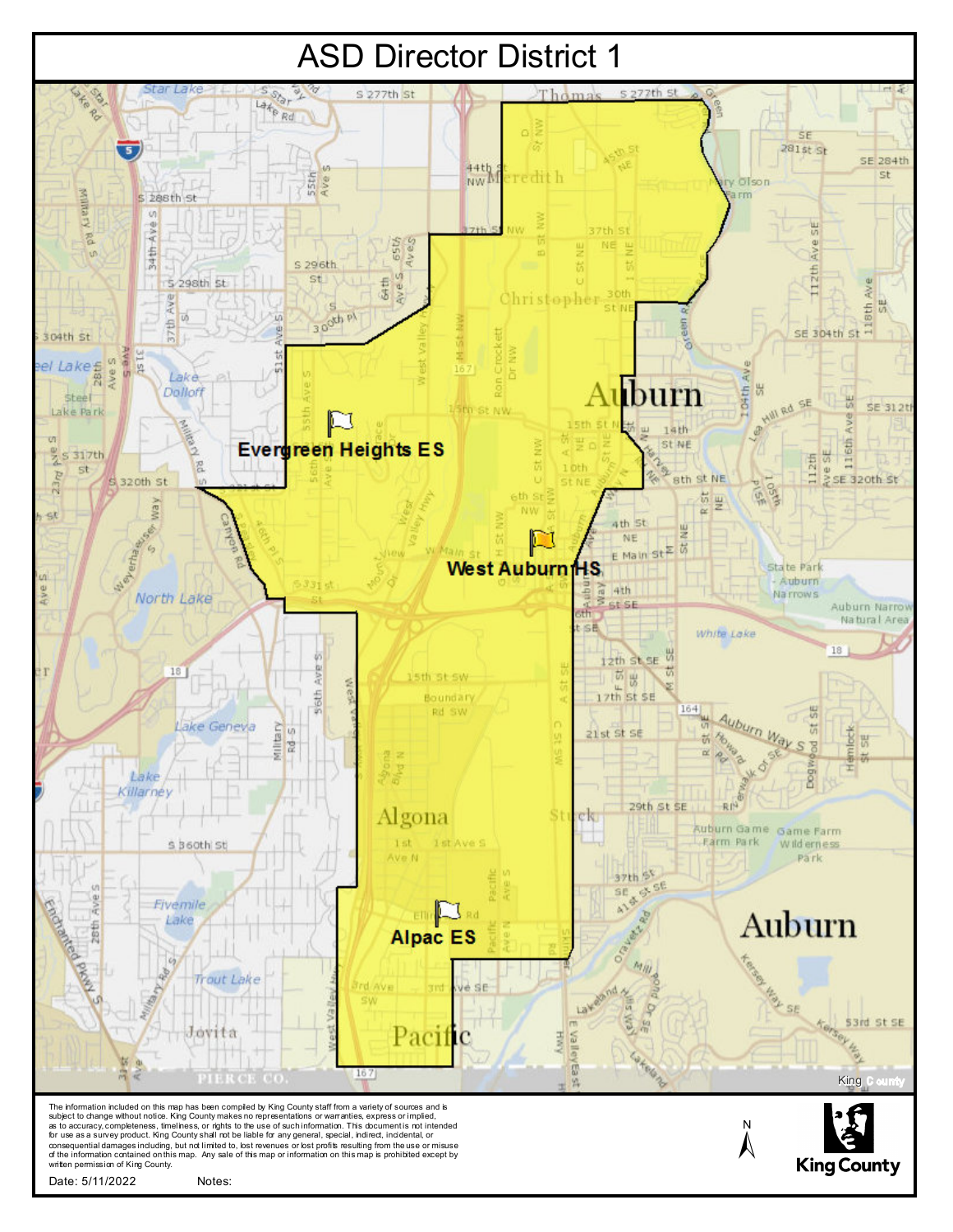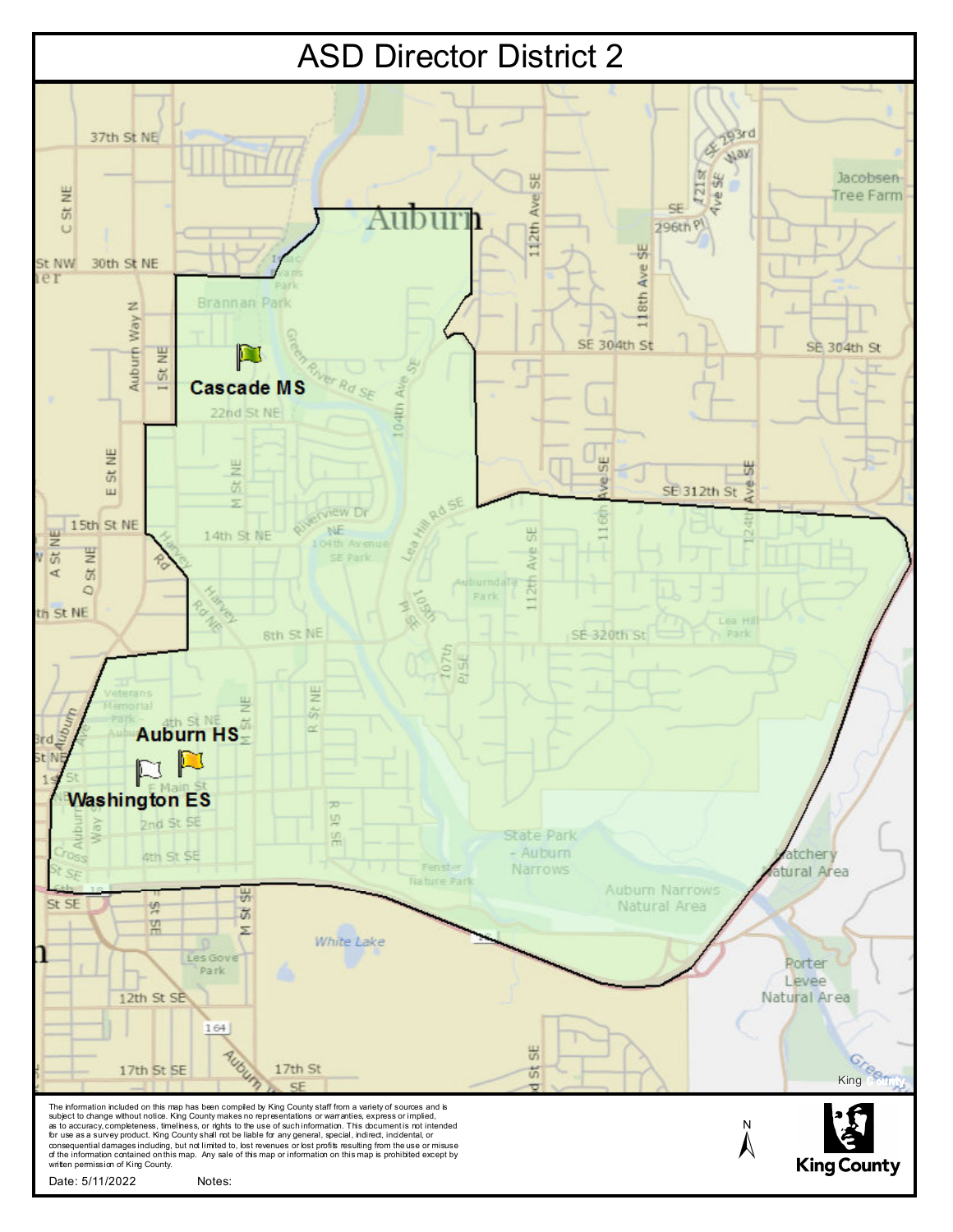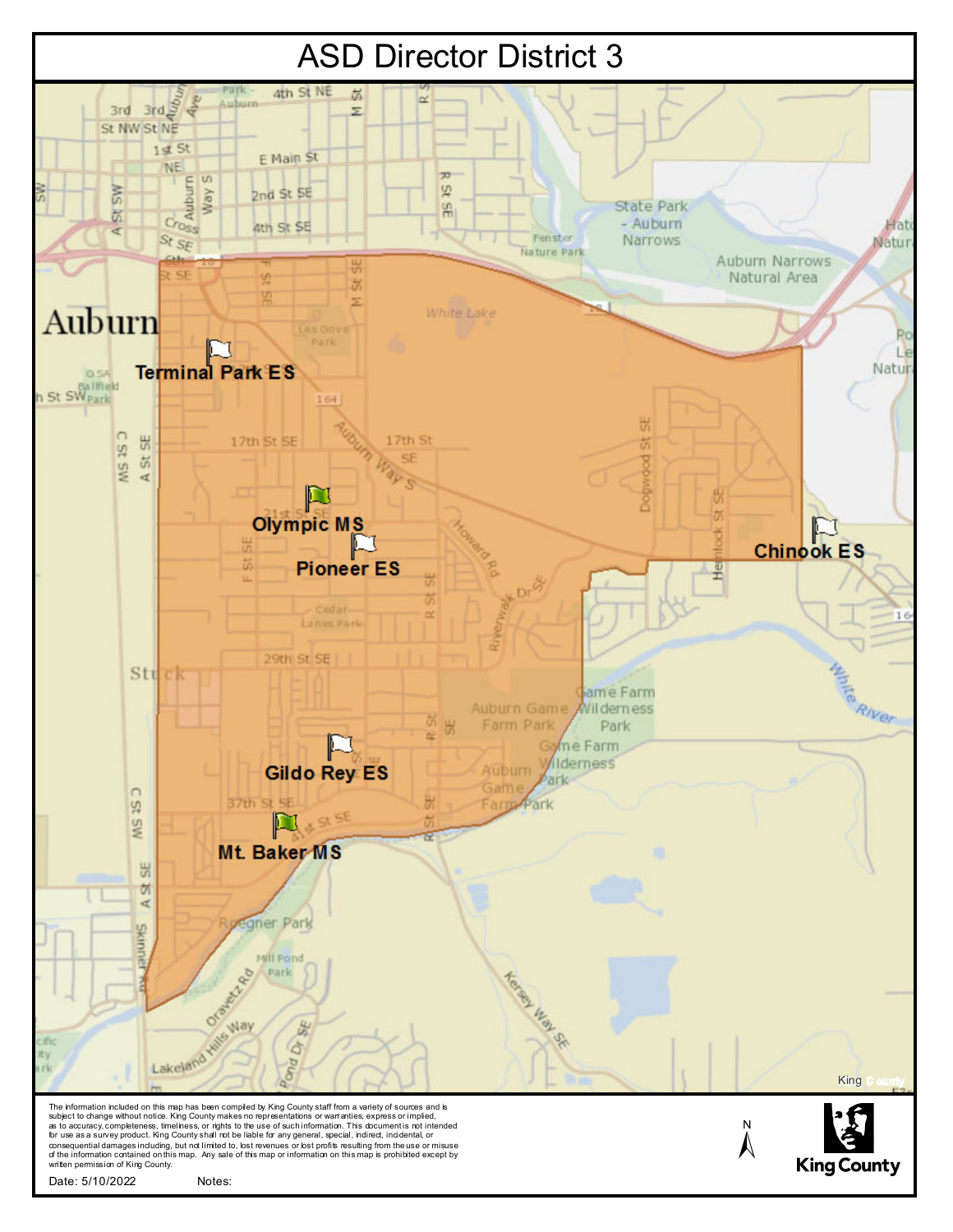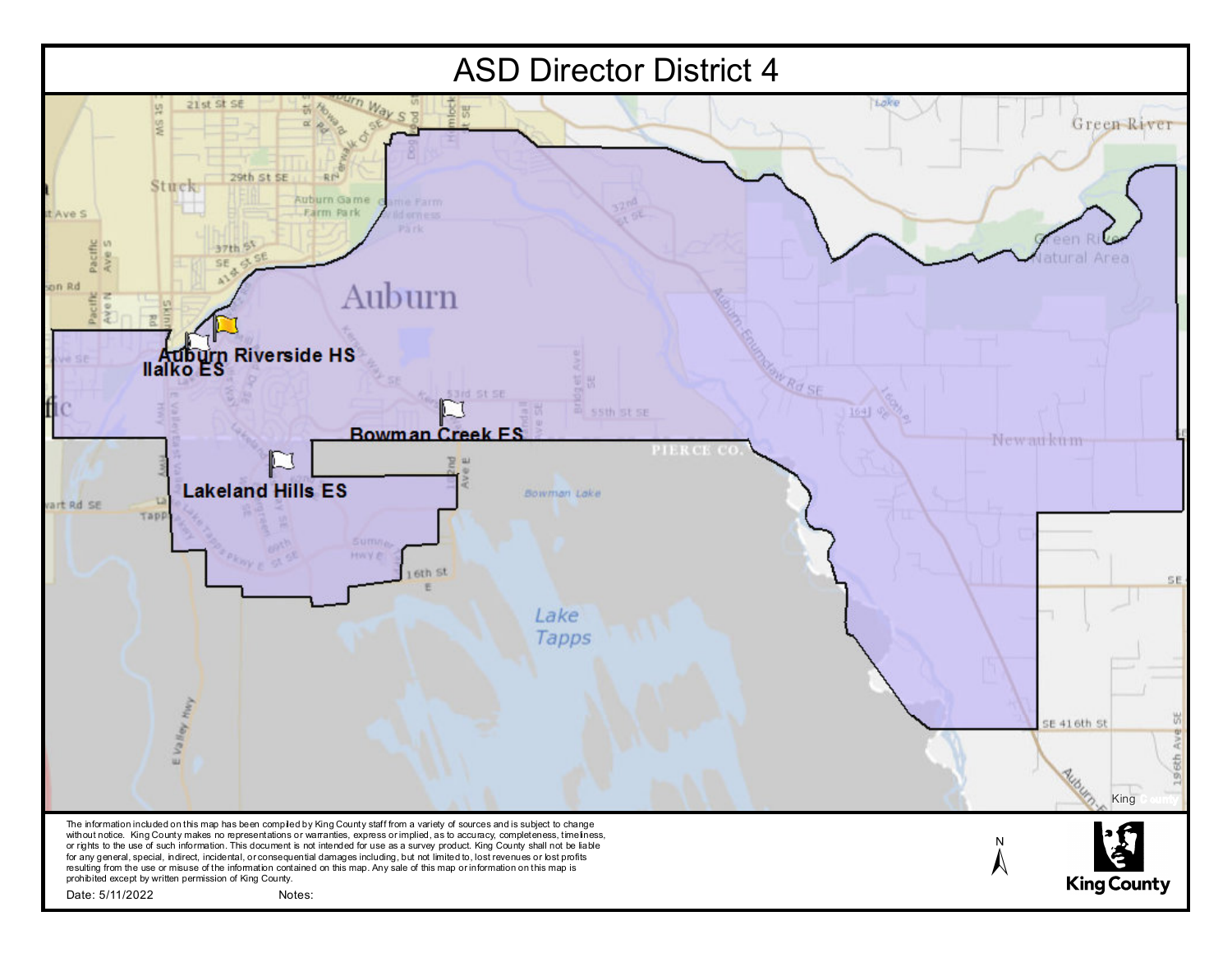